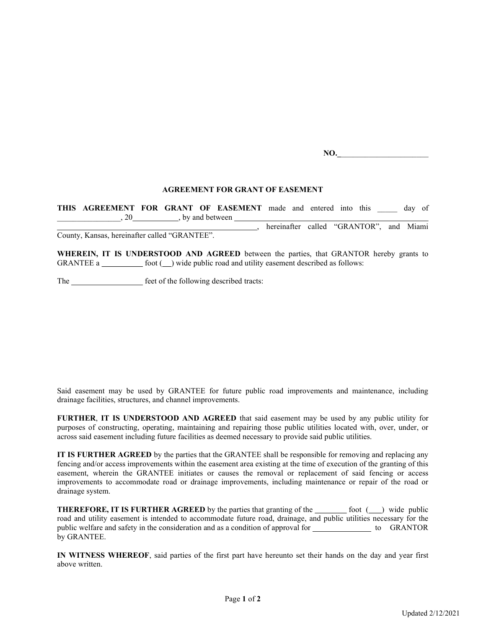NO.

## AGREEMENT FOR GRANT OF EASEMENT

THIS AGREEMENT FOR GRANT OF EASEMENT made and entered into this day of  $, 20$ , by and between hereinafter called "GRANTOR", and Miami County, Kansas, hereinafter called "GRANTEE".

WHEREIN, IT IS UNDERSTOOD AND AGREED between the parties, that GRANTOR hereby grants to GRANTEE a  $f(x)$  foot  $(f(x))$  wide public road and utility easement described as follows:

The \_\_\_\_\_\_\_\_\_\_\_\_\_\_\_\_\_\_\_\_\_\_\_ feet of the following described tracts:

Said easement may be used by GRANTEE for future public road improvements and maintenance, including drainage facilities, structures, and channel improvements.

FURTHER, IT IS UNDERSTOOD AND AGREED that said easement may be used by any public utility for purposes of constructing, operating, maintaining and repairing those public utilities located with, over, under, or across said easement including future facilities as deemed necessary to provide said public utilities.

IT IS FURTHER AGREED by the parties that the GRANTEE shall be responsible for removing and replacing any fencing and/or access improvements within the easement area existing at the time of execution of the granting of this easement, wherein the GRANTEE initiates or causes the removal or replacement of said fencing or access improvements to accommodate road or drainage improvements, including maintenance or repair of the road or drainage system.

**THEREFORE, IT IS FURTHER AGREED** by the parties that granting of the  $f( )$  foot  $( )$  wide public road and utility easement is intended to accommodate future road, drainage, and public utilities necessary for the public welfare and safety in the consideration and as a condition of approval for the GRANTOR by GRANTEE.

IN WITNESS WHEREOF, said parties of the first part have hereunto set their hands on the day and year first above written.